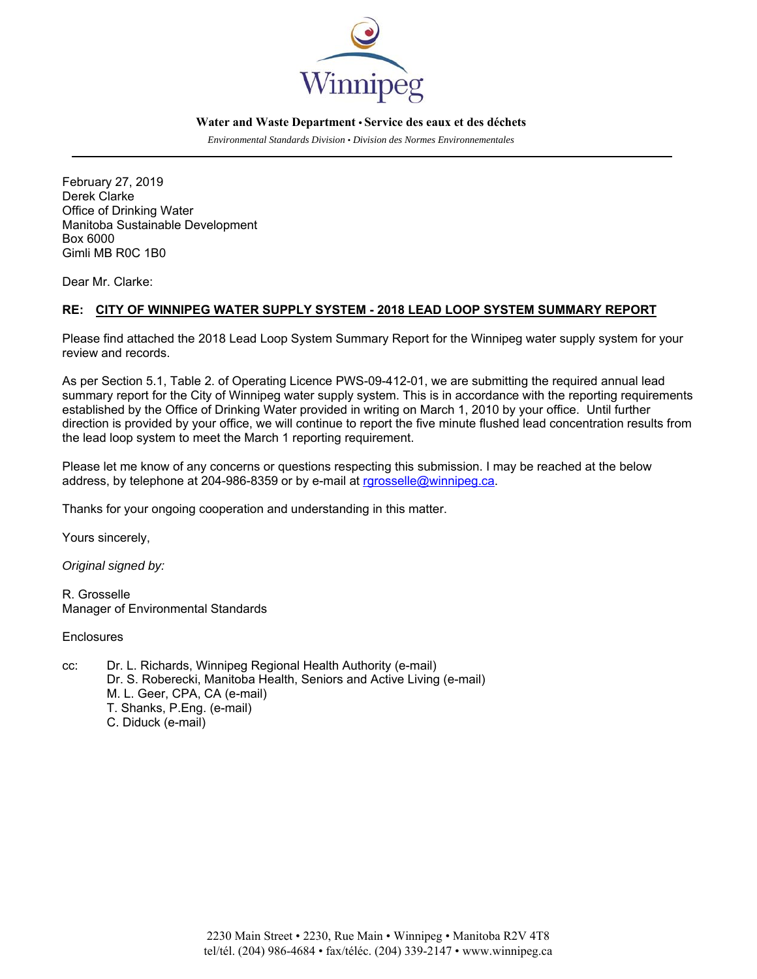

## **Water and Waste Department • Service des eaux et des déchets**

*Environmental Standards Division • Division des Normes Environnementales* 

February 27, 2019 Derek Clarke Office of Drinking Water Manitoba Sustainable Development Box 6000 Gimli MB R0C 1B0

Dear Mr. Clarke:

## **RE: CITY OF WINNIPEG WATER SUPPLY SYSTEM - 2018 LEAD LOOP SYSTEM SUMMARY REPORT**

Please find attached the 2018 Lead Loop System Summary Report for the Winnipeg water supply system for your review and records.

As per Section 5.1, Table 2. of Operating Licence PWS-09-412-01, we are submitting the required annual lead summary report for the City of Winnipeg water supply system. This is in accordance with the reporting requirements established by the Office of Drinking Water provided in writing on March 1, 2010 by your office. Until further direction is provided by your office, we will continue to report the five minute flushed lead concentration results from the lead loop system to meet the March 1 reporting requirement.

Please let me know of any concerns or questions respecting this submission. I may be reached at the below address, by telephone at 204-986-8359 or by e-mail at rgrosselle@winnipeg.ca.

Thanks for your ongoing cooperation and understanding in this matter.

Yours sincerely,

*Original signed by:* 

R. Grosselle Manager of Environmental Standards

**Enclosures** 

cc: Dr. L. Richards, Winnipeg Regional Health Authority (e-mail) Dr. S. Roberecki, Manitoba Health, Seniors and Active Living (e-mail) M. L. Geer, CPA, CA (e-mail) T. Shanks, P.Eng. (e-mail) C. Diduck (e-mail)